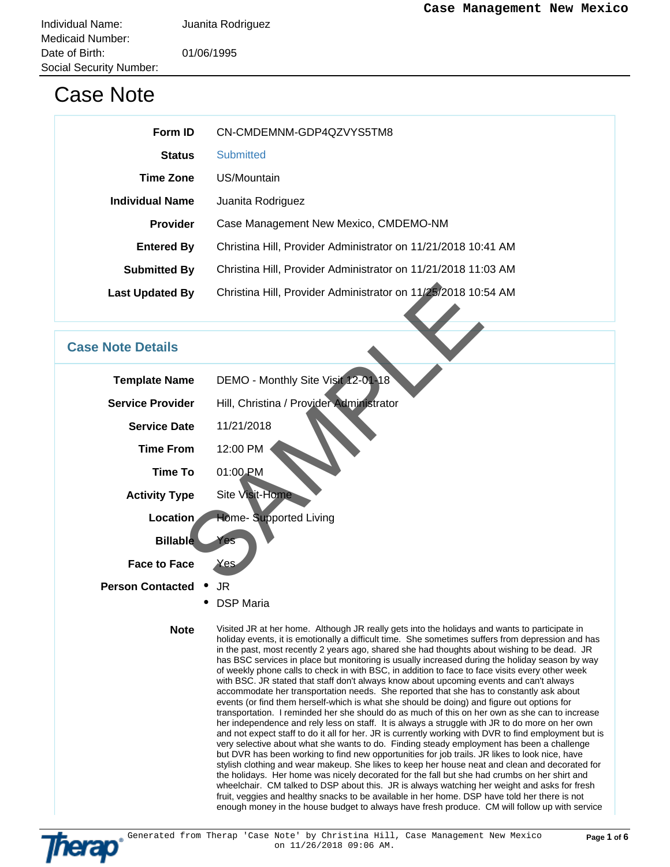## Case Note

| Form ID                | CN-CMDEMNM-GDP4QZVYS5TM8                                      |  |
|------------------------|---------------------------------------------------------------|--|
| <b>Status</b>          | <b>Submitted</b>                                              |  |
| <b>Time Zone</b>       | US/Mountain                                                   |  |
| <b>Individual Name</b> | Juanita Rodriguez                                             |  |
| <b>Provider</b>        | Case Management New Mexico, CMDEMO-NM                         |  |
| <b>Entered By</b>      | Christina Hill, Provider Administrator on 11/21/2018 10:41 AM |  |
| <b>Submitted By</b>    | Christina Hill, Provider Administrator on 11/21/2018 11:03 AM |  |
| <b>Last Updated By</b> | Christina Hill, Provider Administrator on 11/25/2018 10:54 AM |  |

## **Case Note Details**

| <b>Last Updated By</b>  | Christina Hill, Provider Administrator on 11/25/2018 10:54 AM                                                                                                                                                                                                                                                                                                                                                                                                                                                                                                                                                                                                                                                                                                                                                                                                                                                                                                                                                                                                                                                                                                                                         |  |
|-------------------------|-------------------------------------------------------------------------------------------------------------------------------------------------------------------------------------------------------------------------------------------------------------------------------------------------------------------------------------------------------------------------------------------------------------------------------------------------------------------------------------------------------------------------------------------------------------------------------------------------------------------------------------------------------------------------------------------------------------------------------------------------------------------------------------------------------------------------------------------------------------------------------------------------------------------------------------------------------------------------------------------------------------------------------------------------------------------------------------------------------------------------------------------------------------------------------------------------------|--|
|                         |                                                                                                                                                                                                                                                                                                                                                                                                                                                                                                                                                                                                                                                                                                                                                                                                                                                                                                                                                                                                                                                                                                                                                                                                       |  |
| <b>ase Note Details</b> |                                                                                                                                                                                                                                                                                                                                                                                                                                                                                                                                                                                                                                                                                                                                                                                                                                                                                                                                                                                                                                                                                                                                                                                                       |  |
| <b>Template Name</b>    | DEMO - Monthly Site Visit 12-01-18                                                                                                                                                                                                                                                                                                                                                                                                                                                                                                                                                                                                                                                                                                                                                                                                                                                                                                                                                                                                                                                                                                                                                                    |  |
| <b>Service Provider</b> | Hill, Christina / Provider Administrator                                                                                                                                                                                                                                                                                                                                                                                                                                                                                                                                                                                                                                                                                                                                                                                                                                                                                                                                                                                                                                                                                                                                                              |  |
| <b>Service Date</b>     | 11/21/2018                                                                                                                                                                                                                                                                                                                                                                                                                                                                                                                                                                                                                                                                                                                                                                                                                                                                                                                                                                                                                                                                                                                                                                                            |  |
| <b>Time From</b>        | 12:00 PM                                                                                                                                                                                                                                                                                                                                                                                                                                                                                                                                                                                                                                                                                                                                                                                                                                                                                                                                                                                                                                                                                                                                                                                              |  |
| <b>Time To</b>          | 01:00 PM                                                                                                                                                                                                                                                                                                                                                                                                                                                                                                                                                                                                                                                                                                                                                                                                                                                                                                                                                                                                                                                                                                                                                                                              |  |
| <b>Activity Type</b>    | <b>Site Visit-Home</b>                                                                                                                                                                                                                                                                                                                                                                                                                                                                                                                                                                                                                                                                                                                                                                                                                                                                                                                                                                                                                                                                                                                                                                                |  |
| Location                | <b>Home- Supported Living</b>                                                                                                                                                                                                                                                                                                                                                                                                                                                                                                                                                                                                                                                                                                                                                                                                                                                                                                                                                                                                                                                                                                                                                                         |  |
| <b>Billable</b>         | Yes                                                                                                                                                                                                                                                                                                                                                                                                                                                                                                                                                                                                                                                                                                                                                                                                                                                                                                                                                                                                                                                                                                                                                                                                   |  |
| <b>Face to Face</b>     | <b>Yes</b>                                                                                                                                                                                                                                                                                                                                                                                                                                                                                                                                                                                                                                                                                                                                                                                                                                                                                                                                                                                                                                                                                                                                                                                            |  |
| <b>Person Contacted</b> | JR                                                                                                                                                                                                                                                                                                                                                                                                                                                                                                                                                                                                                                                                                                                                                                                                                                                                                                                                                                                                                                                                                                                                                                                                    |  |
|                         | <b>DSP Maria</b>                                                                                                                                                                                                                                                                                                                                                                                                                                                                                                                                                                                                                                                                                                                                                                                                                                                                                                                                                                                                                                                                                                                                                                                      |  |
| <b>Note</b>             | Visited JR at her home. Although JR really gets into the holidays and wants to participate in<br>holiday events, it is emotionally a difficult time. She sometimes suffers from depression and has<br>in the past, most recently 2 years ago, shared she had thoughts about wishing to be dead. JR<br>has BSC services in place but monitoring is usually increased during the holiday season by way<br>of weekly phone calls to check in with BSC, in addition to face to face visits every other week<br>with BSC. JR stated that staff don't always know about upcoming events and can't always<br>accommodate her transportation needs. She reported that she has to constantly ask about<br>events (or find them herself-which is what she should be doing) and figure out options for<br>transportation. I reminded her she should do as much of this on her own as she can to increase<br>her independence and rely less on staff. It is always a struggle with JR to do more on her own<br>and not expect staff to do it all for her. JR is currently working with DVR to find employment but is<br>very selective about what she wants to do. Finding steady employment has been a challenge |  |



but DVR has been working to find new opportunities for job trails. JR likes to look nice, have stylish clothing and wear makeup. She likes to keep her house neat and clean and decorated for the holidays. Her home was nicely decorated for the fall but she had crumbs on her shirt and wheelchair. CM talked to DSP about this. JR is always watching her weight and asks for fresh fruit, veggies and healthy snacks to be available in her home. DSP have told her there is not enough money in the house budget to always have fresh produce. CM will follow up with service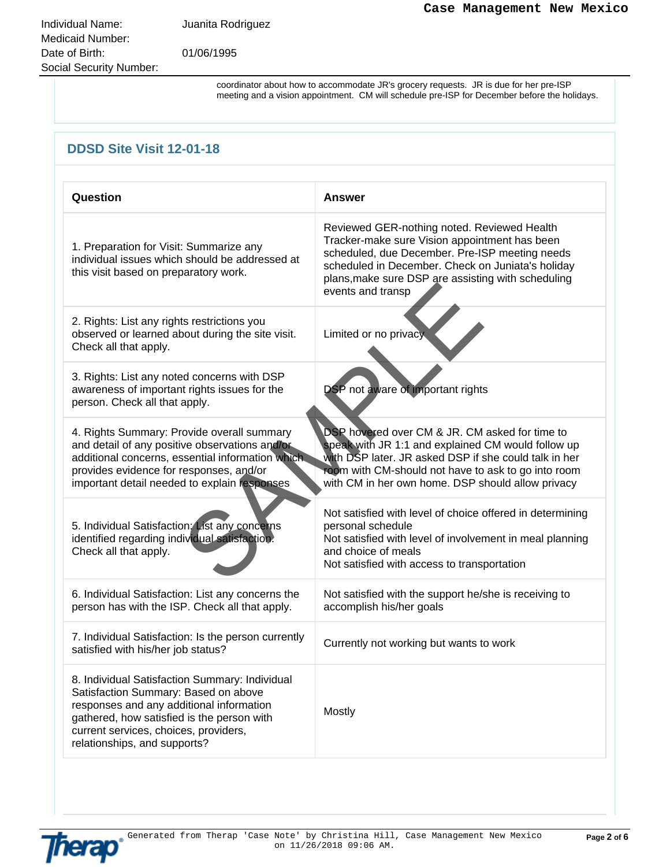Individual Name: Juanita Rodriguez Medicaid Number: Date of Birth: 01/06/1995 Social Security Number:

coordinator about how to accommodate JR's grocery requests. JR is due for her pre-ISP meeting and a vision appointment. CM will schedule pre-ISP for December before the holidays.

| <b>DDSD Site Visit 12-01-18</b>                                                                                                                                                                                                                           |                                                                                                                                                                                                                                                                                |  |
|-----------------------------------------------------------------------------------------------------------------------------------------------------------------------------------------------------------------------------------------------------------|--------------------------------------------------------------------------------------------------------------------------------------------------------------------------------------------------------------------------------------------------------------------------------|--|
| Question                                                                                                                                                                                                                                                  | <b>Answer</b>                                                                                                                                                                                                                                                                  |  |
| 1. Preparation for Visit: Summarize any<br>individual issues which should be addressed at<br>this visit based on preparatory work.                                                                                                                        | Reviewed GER-nothing noted. Reviewed Health<br>Tracker-make sure Vision appointment has been<br>scheduled, due December. Pre-ISP meeting needs<br>scheduled in December. Check on Juniata's holiday<br>plans, make sure DSP are assisting with scheduling<br>events and transp |  |
| 2. Rights: List any rights restrictions you<br>observed or learned about during the site visit.<br>Check all that apply.                                                                                                                                  | Limited or no privacy                                                                                                                                                                                                                                                          |  |
| 3. Rights: List any noted concerns with DSP<br>awareness of important rights issues for the<br>person. Check all that apply.                                                                                                                              | DSP not aware of important rights                                                                                                                                                                                                                                              |  |
| 4. Rights Summary: Provide overall summary<br>and detail of any positive observations and/or<br>additional concerns, essential information which<br>provides evidence for responses, and/or<br>important detail needed to explain responses               | DSP hovered over CM & JR. CM asked for time to<br>speak with JR 1:1 and explained CM would follow up<br>with DSP later. JR asked DSP if she could talk in her<br>room with CM-should not have to ask to go into room<br>with CM in her own home. DSP should allow privacy      |  |
| 5. Individual Satisfaction: List any concerns<br>identified regarding individual satisfaction.<br>Check all that apply.                                                                                                                                   | Not satisfied with level of choice offered in determining<br>personal schedule<br>Not satisfied with level of involvement in meal planning<br>and choice of meals<br>Not satisfied with access to transportation                                                               |  |
| 6. Individual Satisfaction: List any concerns the<br>person has with the ISP. Check all that apply.                                                                                                                                                       | Not satisfied with the support he/she is receiving to<br>accomplish his/her goals                                                                                                                                                                                              |  |
| 7. Individual Satisfaction: Is the person currently<br>satisfied with his/her job status?                                                                                                                                                                 | Currently not working but wants to work                                                                                                                                                                                                                                        |  |
| 8. Individual Satisfaction Summary: Individual<br>Satisfaction Summary: Based on above<br>responses and any additional information<br>gathered, how satisfied is the person with<br>current services, choices, providers,<br>relationships, and supports? | Mostly                                                                                                                                                                                                                                                                         |  |

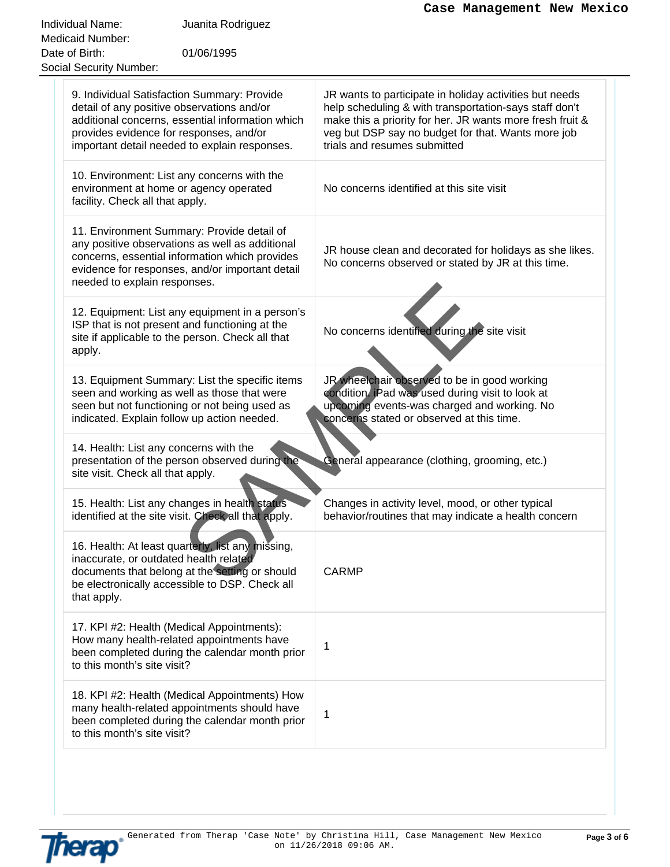|                                                                                                                                                                                                                                           | Case Management New Mexico                                                                                                                                                                                                                                           |
|-------------------------------------------------------------------------------------------------------------------------------------------------------------------------------------------------------------------------------------------|----------------------------------------------------------------------------------------------------------------------------------------------------------------------------------------------------------------------------------------------------------------------|
| Individual Name:<br>Juanita Rodriguez                                                                                                                                                                                                     |                                                                                                                                                                                                                                                                      |
| <b>Medicaid Number:</b>                                                                                                                                                                                                                   |                                                                                                                                                                                                                                                                      |
| 01/06/1995<br>Date of Birth:<br><b>Social Security Number:</b>                                                                                                                                                                            |                                                                                                                                                                                                                                                                      |
|                                                                                                                                                                                                                                           |                                                                                                                                                                                                                                                                      |
| 9. Individual Satisfaction Summary: Provide<br>detail of any positive observations and/or<br>additional concerns, essential information which<br>provides evidence for responses, and/or<br>important detail needed to explain responses. | JR wants to participate in holiday activities but needs<br>help scheduling & with transportation-says staff don't<br>make this a priority for her. JR wants more fresh fruit &<br>veg but DSP say no budget for that. Wants more job<br>trials and resumes submitted |
| 10. Environment: List any concerns with the<br>environment at home or agency operated<br>facility. Check all that apply.                                                                                                                  | No concerns identified at this site visit                                                                                                                                                                                                                            |
| 11. Environment Summary: Provide detail of<br>any positive observations as well as additional<br>concerns, essential information which provides<br>evidence for responses, and/or important detail<br>needed to explain responses.        | JR house clean and decorated for holidays as she likes.<br>No concerns observed or stated by JR at this time.                                                                                                                                                        |
| 12. Equipment: List any equipment in a person's<br>ISP that is not present and functioning at the<br>site if applicable to the person. Check all that<br>apply.                                                                           | No concerns identified during the site visit                                                                                                                                                                                                                         |
| 13. Equipment Summary: List the specific items<br>seen and working as well as those that were<br>seen but not functioning or not being used as<br>indicated. Explain follow up action needed.                                             | JR wheelchair observed to be in good working<br>condition. iPad was used during visit to look at<br>upcoming events-was charged and working. No<br>concerns stated or observed at this time.                                                                         |
| 14. Health: List any concerns with the<br>presentation of the person observed during the<br>site visit. Check all that apply.                                                                                                             | General appearance (clothing, grooming, etc.)                                                                                                                                                                                                                        |
| 15. Health: List any changes in health status<br>identified at the site visit. Check all that apply.                                                                                                                                      | Changes in activity level, mood, or other typical<br>behavior/routines that may indicate a health concern                                                                                                                                                            |
| 16. Health: At least quarterly, list any missing,<br>inaccurate, or outdated health related<br>documents that belong at the setting or should<br>be electronically accessible to DSP. Check all<br>that apply.                            | <b>CARMP</b>                                                                                                                                                                                                                                                         |
| 17. KPI #2: Health (Medical Appointments):<br>How many health-related appointments have<br>been completed during the calendar month prior<br>to this month's site visit?                                                                  | 1                                                                                                                                                                                                                                                                    |
| 18. KPI #2: Health (Medical Appointments) How<br>many health-related appointments should have<br>been completed during the calendar month prior<br>to this month's site visit?                                                            | 1                                                                                                                                                                                                                                                                    |

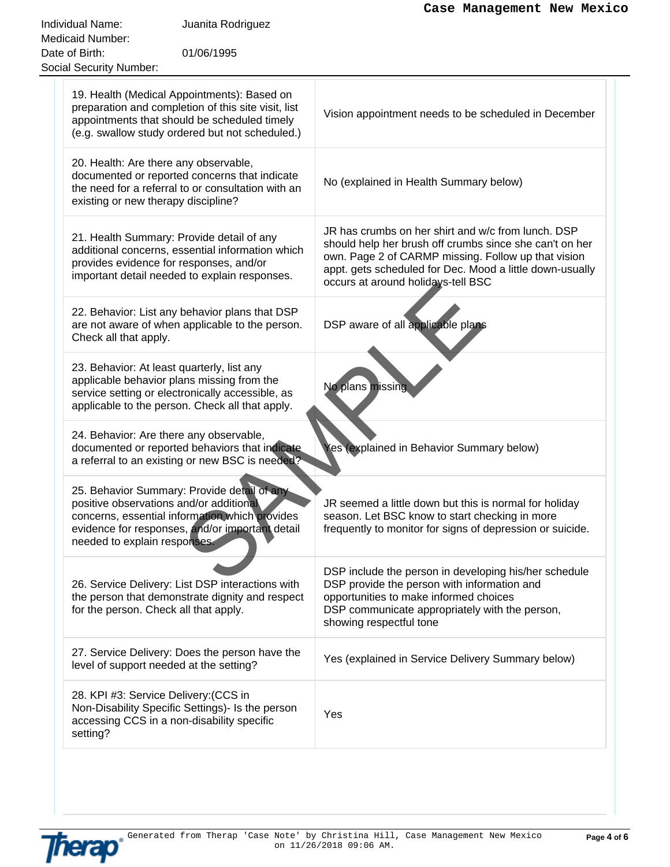| Individual Name:<br>Juanita Rodriguez<br><b>Medicaid Number:</b>                                                                                                                                                            |                                                                                                                                                                                                                                                                        |
|-----------------------------------------------------------------------------------------------------------------------------------------------------------------------------------------------------------------------------|------------------------------------------------------------------------------------------------------------------------------------------------------------------------------------------------------------------------------------------------------------------------|
| Date of Birth:<br>01/06/1995<br><b>Social Security Number:</b>                                                                                                                                                              |                                                                                                                                                                                                                                                                        |
| 19. Health (Medical Appointments): Based on<br>preparation and completion of this site visit, list<br>appointments that should be scheduled timely<br>(e.g. swallow study ordered but not scheduled.)                       | Vision appointment needs to be scheduled in December                                                                                                                                                                                                                   |
| 20. Health: Are there any observable,<br>documented or reported concerns that indicate<br>the need for a referral to or consultation with an<br>existing or new therapy discipline?                                         | No (explained in Health Summary below)                                                                                                                                                                                                                                 |
| 21. Health Summary: Provide detail of any<br>additional concerns, essential information which<br>provides evidence for responses, and/or<br>important detail needed to explain responses.                                   | JR has crumbs on her shirt and w/c from lunch. DSP<br>should help her brush off crumbs since she can't on her<br>own. Page 2 of CARMP missing. Follow up that vision<br>appt. gets scheduled for Dec. Mood a little down-usually<br>occurs at around holidays-tell BSC |
| 22. Behavior: List any behavior plans that DSP<br>are not aware of when applicable to the person.<br>Check all that apply.                                                                                                  | DSP aware of all applicable plans                                                                                                                                                                                                                                      |
| 23. Behavior: At least quarterly, list any<br>applicable behavior plans missing from the<br>service setting or electronically accessible, as<br>applicable to the person. Check all that apply.                             | No plans missing                                                                                                                                                                                                                                                       |
| 24. Behavior: Are there any observable,<br>documented or reported behaviors that indicate<br>a referral to an existing or new BSC is needed?                                                                                | Yes (explained in Behavior Summary below)                                                                                                                                                                                                                              |
| 25. Behavior Summary: Provide detail of any<br>positive observations and/or additional<br>concerns, essential information which provides<br>evidence for responses, and/or important detail<br>needed to explain responses. | JR seemed a little down but this is normal for holiday<br>season. Let BSC know to start checking in more<br>frequently to monitor for signs of depression or suicide.                                                                                                  |
| 26. Service Delivery: List DSP interactions with<br>the person that demonstrate dignity and respect<br>for the person. Check all that apply.                                                                                | DSP include the person in developing his/her schedule<br>DSP provide the person with information and<br>opportunities to make informed choices<br>DSP communicate appropriately with the person,<br>showing respectful tone                                            |
| 27. Service Delivery: Does the person have the<br>level of support needed at the setting?                                                                                                                                   | Yes (explained in Service Delivery Summary below)                                                                                                                                                                                                                      |
| 28. KPI #3: Service Delivery: (CCS in<br>Non-Disability Specific Settings)- Is the person<br>accessing CCS in a non-disability specific<br>setting?                                                                         | Yes                                                                                                                                                                                                                                                                    |

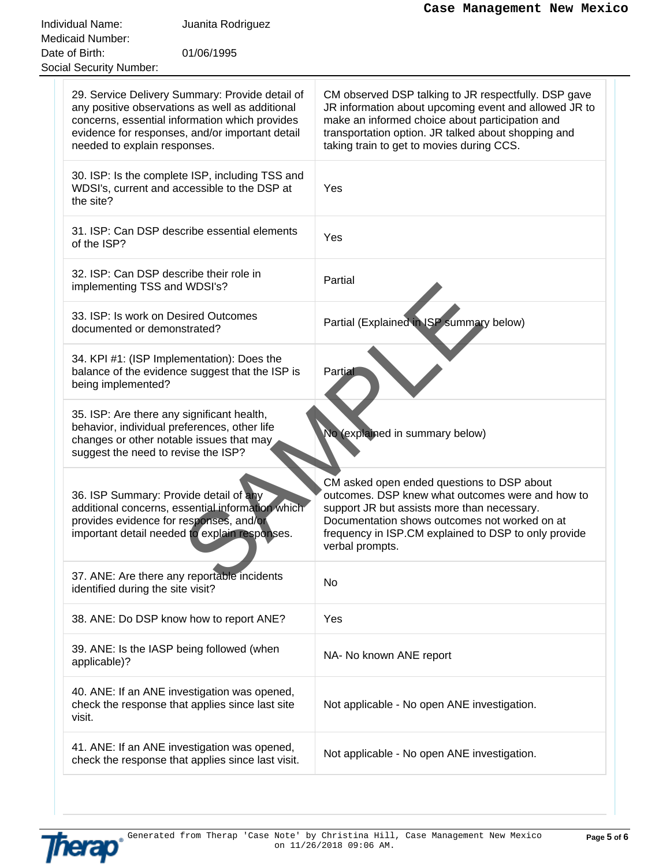|                                                                                                                                                                                                                                         | Case Management New Mexico                                                                                                                                                                                                                                                |
|-----------------------------------------------------------------------------------------------------------------------------------------------------------------------------------------------------------------------------------------|---------------------------------------------------------------------------------------------------------------------------------------------------------------------------------------------------------------------------------------------------------------------------|
| Individual Name:<br>Juanita Rodriguez                                                                                                                                                                                                   |                                                                                                                                                                                                                                                                           |
| <b>Medicaid Number:</b><br>01/06/1995<br>Date of Birth:                                                                                                                                                                                 |                                                                                                                                                                                                                                                                           |
| <b>Social Security Number:</b>                                                                                                                                                                                                          |                                                                                                                                                                                                                                                                           |
|                                                                                                                                                                                                                                         |                                                                                                                                                                                                                                                                           |
| 29. Service Delivery Summary: Provide detail of<br>any positive observations as well as additional<br>concerns, essential information which provides<br>evidence for responses, and/or important detail<br>needed to explain responses. | CM observed DSP talking to JR respectfully. DSP gave<br>JR information about upcoming event and allowed JR to<br>make an informed choice about participation and<br>transportation option. JR talked about shopping and<br>taking train to get to movies during CCS.      |
|                                                                                                                                                                                                                                         |                                                                                                                                                                                                                                                                           |
| 30. ISP: Is the complete ISP, including TSS and<br>WDSI's, current and accessible to the DSP at<br>the site?                                                                                                                            | Yes                                                                                                                                                                                                                                                                       |
| 31. ISP: Can DSP describe essential elements<br>of the ISP?                                                                                                                                                                             | Yes                                                                                                                                                                                                                                                                       |
| 32. ISP: Can DSP describe their role in<br>implementing TSS and WDSI's?                                                                                                                                                                 | Partial                                                                                                                                                                                                                                                                   |
| 33. ISP: Is work on Desired Outcomes<br>documented or demonstrated?                                                                                                                                                                     | Partial (Explained in ISP summary below)                                                                                                                                                                                                                                  |
| 34. KPI #1: (ISP Implementation): Does the<br>balance of the evidence suggest that the ISP is<br>being implemented?                                                                                                                     | Partial                                                                                                                                                                                                                                                                   |
| 35. ISP: Are there any significant health,<br>behavior, individual preferences, other life<br>changes or other notable issues that may<br>suggest the need to revise the ISP?                                                           | No (explained in summary below)                                                                                                                                                                                                                                           |
| 36. ISP Summary: Provide detail of any<br>additional concerns, essential information which<br>provides evidence for responses, and/or<br>important detail needed to explain responses.                                                  | CM asked open ended questions to DSP about<br>outcomes. DSP knew what outcomes were and how to<br>support JR but assists more than necessary.<br>Documentation shows outcomes not worked on at<br>frequency in ISP.CM explained to DSP to only provide<br>verbal prompts. |
| 37. ANE: Are there any reportable incidents<br>identified during the site visit?                                                                                                                                                        | No                                                                                                                                                                                                                                                                        |
| 38. ANE: Do DSP know how to report ANE?                                                                                                                                                                                                 | Yes                                                                                                                                                                                                                                                                       |
| 39. ANE: Is the IASP being followed (when<br>applicable)?                                                                                                                                                                               | NA- No known ANE report                                                                                                                                                                                                                                                   |
| 40. ANE: If an ANE investigation was opened,<br>check the response that applies since last site<br>visit.                                                                                                                               | Not applicable - No open ANE investigation.                                                                                                                                                                                                                               |
| 41. ANE: If an ANE investigation was opened,<br>check the response that applies since last visit.                                                                                                                                       | Not applicable - No open ANE investigation.                                                                                                                                                                                                                               |